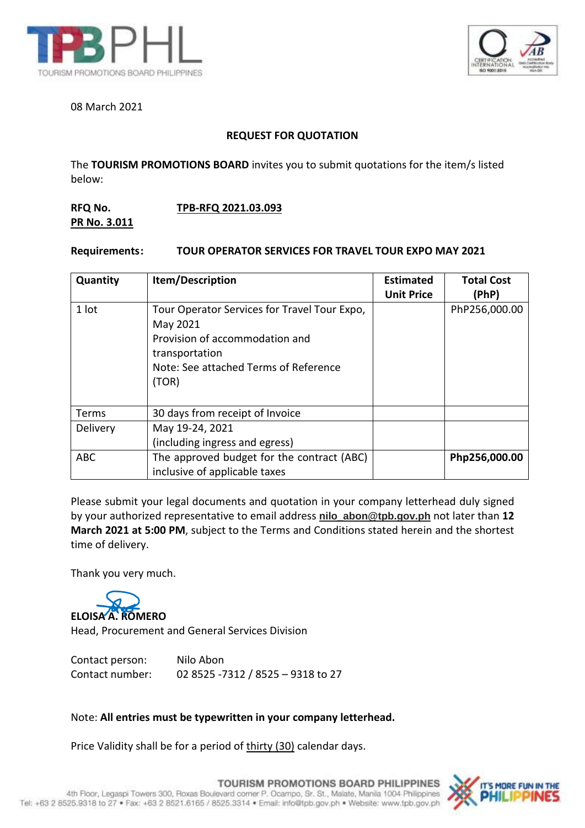



### 08 March 2021

# **REQUEST FOR QUOTATION**

The **TOURISM PROMOTIONS BOARD** invites you to submit quotations for the item/s listed below:

# **RFQ No. TPB-RFQ 2021.03.093 PR No. 3.011**

### **Requirements: TOUR OPERATOR SERVICES FOR TRAVEL TOUR EXPO MAY 2021**

| Quantity   | Item/Description                                                                                                                                               | <b>Estimated</b><br><b>Unit Price</b> | <b>Total Cost</b><br>(PhP) |
|------------|----------------------------------------------------------------------------------------------------------------------------------------------------------------|---------------------------------------|----------------------------|
| 1 lot      | Tour Operator Services for Travel Tour Expo,<br>May 2021<br>Provision of accommodation and<br>transportation<br>Note: See attached Terms of Reference<br>(TOR) |                                       | PhP256,000.00              |
| Terms      | 30 days from receipt of Invoice                                                                                                                                |                                       |                            |
| Delivery   | May 19-24, 2021<br>(including ingress and egress)                                                                                                              |                                       |                            |
| <b>ABC</b> | The approved budget for the contract (ABC)<br>inclusive of applicable taxes                                                                                    |                                       | Php256,000.00              |

Please submit your legal documents and quotation in your company letterhead duly signed by your authorized representative to email address **nilo\_abon@tpb.gov.ph** not later than **12 March 2021 at 5:00 PM**, subject to the Terms and Conditions stated herein and the shortest time of delivery.

Thank you very much.



Contact person: Nilo Abon Contact number: 02 8525 -7312 / 8525 – 9318 to 27

### Note: **All entries must be typewritten in your company letterhead.**

Price Validity shall be for a period of thirty (30) calendar days.